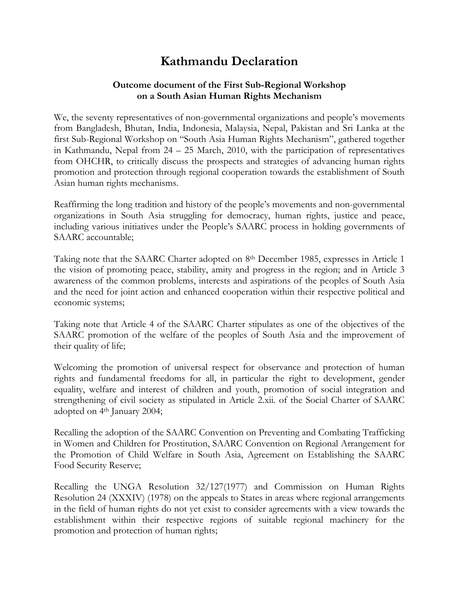## **Kathmandu Declaration**

## **Outcome document of the First Sub-Regional Workshop on a South Asian Human Rights Mechanism**

We, the seventy representatives of non-governmental organizations and people's movements from Bangladesh, Bhutan, India, Indonesia, Malaysia, Nepal, Pakistan and Sri Lanka at the first Sub-Regional Workshop on "South Asia Human Rights Mechanism", gathered together in Kathmandu, Nepal from 24 – 25 March, 2010, with the participation of representatives from OHCHR, to critically discuss the prospects and strategies of advancing human rights promotion and protection through regional cooperation towards the establishment of South Asian human rights mechanisms.

Reaffirming the long tradition and history of the people's movements and non-governmental organizations in South Asia struggling for democracy, human rights, justice and peace, including various initiatives under the People's SAARC process in holding governments of SAARC accountable;

Taking note that the SAARC Charter adopted on 8th December 1985, expresses in Article 1 the vision of promoting peace, stability, amity and progress in the region; and in Article 3 awareness of the common problems, interests and aspirations of the peoples of South Asia and the need for joint action and enhanced cooperation within their respective political and economic systems;

Taking note that Article 4 of the SAARC Charter stipulates as one of the objectives of the SAARC promotion of the welfare of the peoples of South Asia and the improvement of their quality of life;

Welcoming the promotion of universal respect for observance and protection of human rights and fundamental freedoms for all, in particular the right to development, gender equality, welfare and interest of children and youth, promotion of social integration and strengthening of civil society as stipulated in Article 2.xii. of the Social Charter of SAARC adopted on 4th January 2004;

Recalling the adoption of the SAARC Convention on Preventing and Combating Trafficking in Women and Children for Prostitution, SAARC Convention on Regional Arrangement for the Promotion of Child Welfare in South Asia, Agreement on Establishing the SAARC Food Security Reserve;

Recalling the UNGA Resolution 32/127(1977) and Commission on Human Rights Resolution 24 (XXXIV) (1978) on the appeals to States in areas where regional arrangements in the field of human rights do not yet exist to consider agreements with a view towards the establishment within their respective regions of suitable regional machinery for the promotion and protection of human rights;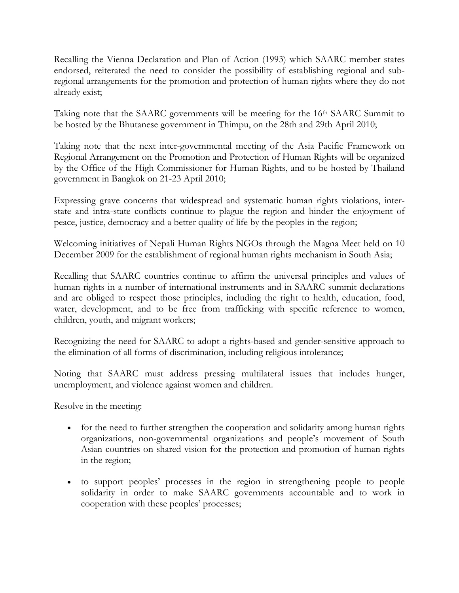Recalling the Vienna Declaration and Plan of Action (1993) which SAARC member states endorsed, reiterated the need to consider the possibility of establishing regional and subregional arrangements for the promotion and protection of human rights where they do not already exist;

Taking note that the SAARC governments will be meeting for the 16<sup>th</sup> SAARC Summit to be hosted by the Bhutanese government in Thimpu, on the 28th and 29th April 2010;

Taking note that the next inter-governmental meeting of the Asia Pacific Framework on Regional Arrangement on the Promotion and Protection of Human Rights will be organized by the Office of the High Commissioner for Human Rights, and to be hosted by Thailand government in Bangkok on 21-23 April 2010;

Expressing grave concerns that widespread and systematic human rights violations, interstate and intra-state conflicts continue to plague the region and hinder the enjoyment of peace, justice, democracy and a better quality of life by the peoples in the region;

Welcoming initiatives of Nepali Human Rights NGOs through the Magna Meet held on 10 December 2009 for the establishment of regional human rights mechanism in South Asia;

Recalling that SAARC countries continue to affirm the universal principles and values of human rights in a number of international instruments and in SAARC summit declarations and are obliged to respect those principles, including the right to health, education, food, water, development, and to be free from trafficking with specific reference to women, children, youth, and migrant workers;

Recognizing the need for SAARC to adopt a rights-based and gender-sensitive approach to the elimination of all forms of discrimination, including religious intolerance;

Noting that SAARC must address pressing multilateral issues that includes hunger, unemployment, and violence against women and children.

Resolve in the meeting:

- for the need to further strengthen the cooperation and solidarity among human rights organizations, non-governmental organizations and people's movement of South Asian countries on shared vision for the protection and promotion of human rights in the region;
- to support peoples' processes in the region in strengthening people to people solidarity in order to make SAARC governments accountable and to work in cooperation with these peoples' processes;